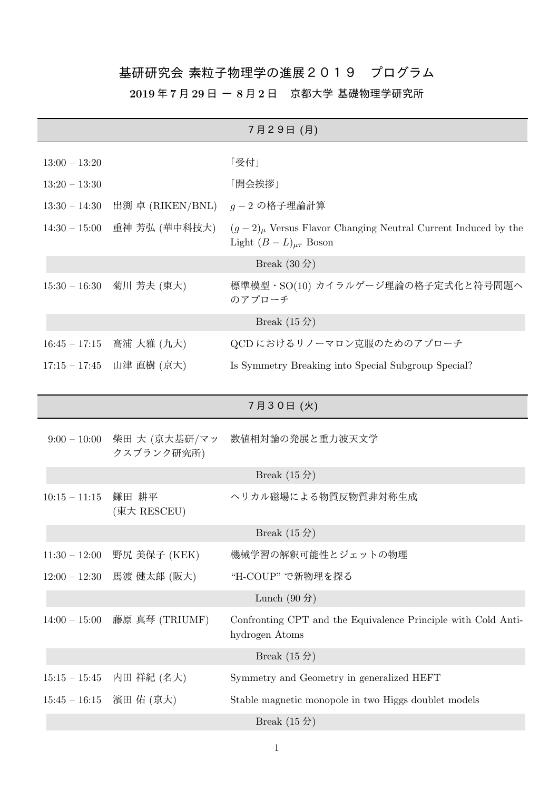## 基研研究会 素粒子物理学の進展2019 プログラム

## **2019** 年 **7** 月 **29** 日 ー **8** 月 **2** 日 京都大学 基礎物理学研究所

|                 |                                          | 7月29日 (月)                                                                       |
|-----------------|------------------------------------------|---------------------------------------------------------------------------------|
| $13:00 - 13:20$ |                                          | 「受付」                                                                            |
| $13:20 - 13:30$ |                                          | 「開会挨拶」                                                                          |
| $13:30 - 14:30$ | 出渕 卓 (RIKEN/BNL)                         | $g-2$ の格子理論計算                                                                   |
| $14:30-15:00$   | 重神 芳弘 (華中科技大)                            | $(g-2)_{\mu}$ Versus Flavor Changing Neutral Current Induced by the             |
|                 |                                          | Light $(B-L)_{\mu\tau}$ Boson                                                   |
|                 |                                          | Break $(30 \nexists)$                                                           |
| $15:30 - 16:30$ | 菊川 芳夫 (東大)                               | 標準模型・SO(10) カイラルゲージ理論の格子定式化と符号問題へ<br>のアプローチ                                     |
|                 |                                          | Break $(15 \nleftrightarrow)$                                                   |
| $16:45 - 17:15$ | 高浦 大雅 (九大)                               | QCD におけるリノーマロン克服のためのアプローチ                                                       |
| $17:15 - 17:45$ | 山津 直樹 (京大)                               | Is Symmetry Breaking into Special Subgroup Special?                             |
|                 |                                          |                                                                                 |
|                 |                                          | 7月30日 (火)                                                                       |
|                 |                                          |                                                                                 |
|                 | 9:00 - 10:00 柴田 大 (京大基研/マッ<br>クスプランク研究所) | 数値相対論の発展と重力波天文学                                                                 |
|                 |                                          | Break $(15 \nleftrightarrow)$                                                   |
| $10:15 - 11:15$ | 鎌田 耕平<br>(東大 RESCEU)                     | ヘリカル磁場による物質反物質非対称生成                                                             |
|                 |                                          | Break $(15 \nleftrightarrow)$                                                   |
| $11:30 - 12:00$ | 野尻 美保子 (KEK)                             | 機械学習の解釈可能性とジェットの物理                                                              |
| $12:00 - 12:30$ | 馬渡 健太郎 (阪大)                              | "H-COUP"で新物理を探る                                                                 |
|                 |                                          | Lunch $(90 \n$                                                                  |
| $14:00 - 15:00$ | 藤原 真琴 (TRIUMF)                           | Confronting CPT and the Equivalence Principle with Cold Anti-<br>hydrogen Atoms |
|                 |                                          | Break $(15 \nleftrightarrow)$                                                   |
| $15:15 - 15:45$ | 内田 祥紀 (名大)                               | Symmetry and Geometry in generalized HEFT                                       |
| $15:45 - 16:15$ | 濱田 佑 (京大)                                | Stable magnetic monopole in two Higgs doublet models                            |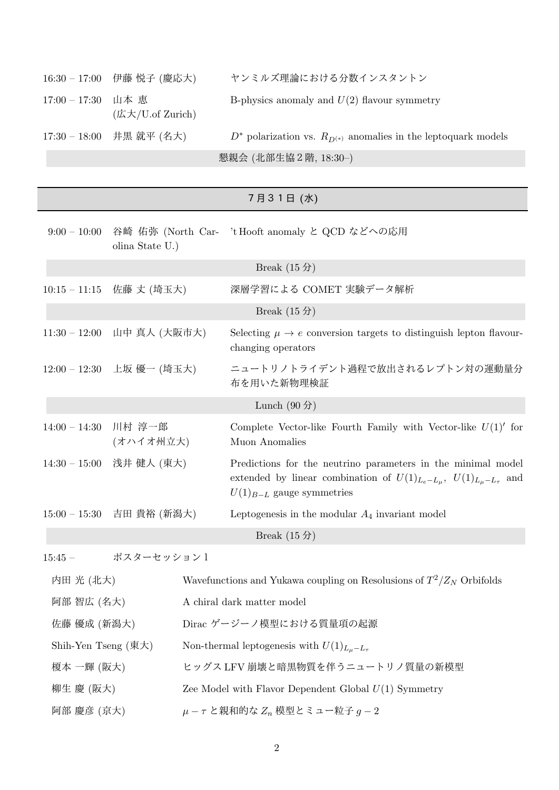|                    | 16:30 - 17:00 伊藤 悦子 (慶応大) | ヤンミルズ理論における分数インスタントン                                                    |
|--------------------|---------------------------|-------------------------------------------------------------------------|
| 17:00 - 17:30 山本 恵 | $($ 広大/U.of Zurich $)$    | B-physics anomaly and $U(2)$ flavour symmetry                           |
|                    | 17:30 – 18:00 井黒 就平 (名大)  | $D^*$ polarization vs. $R_{D^{(*)}}$ anomalies in the leptoquark models |
|                    |                           | 懇親会 (北部生協2階, 18:30-)                                                    |

| 7月31日(水)                      |                           |  |                                                                                                                                                                                   |
|-------------------------------|---------------------------|--|-----------------------------------------------------------------------------------------------------------------------------------------------------------------------------------|
| $9:00-10:00$                  | olina State U.)           |  | 谷崎 佑弥 (North Car- 't Hooft anomaly と QCD などへの応用                                                                                                                                   |
|                               |                           |  | Break $(15 \nleftrightarrow)$                                                                                                                                                     |
| $10:15 - 11:15$               | 佐藤 丈 (埼玉大)                |  | 深層学習による COMET 実験データ解析                                                                                                                                                             |
|                               |                           |  | Break $(15 \nleftrightarrow)$                                                                                                                                                     |
| $11:30 - 12:00$               | 山中 真人 (大阪市大)              |  | Selecting $\mu \to e$ conversion targets to distinguish lepton flavour-<br>changing operators                                                                                     |
|                               | 12:00 - 12:30 上坂 優一 (埼玉大) |  | ニュートリノトライデント過程で放出されるレプトン対の運動量分<br>布を用いた新物理検証                                                                                                                                      |
|                               |                           |  | Lunch $(90 \n$                                                                                                                                                                    |
| 14:00 - 14:30 川村 淳一郎          | (オハイオ州立大)                 |  | Complete Vector-like Fourth Family with Vector-like $U(1)$ for<br>Muon Anomalies                                                                                                  |
|                               | 14:30 – 15:00 浅井 健人 (東大)  |  | Predictions for the neutrino parameters in the minimal model<br>extended by linear combination of $U(1)_{L_e-L_\mu}$ , $U(1)_{L_\mu-L_\tau}$ and<br>$U(1)_{B-L}$ gauge symmetries |
|                               | 15:00 – 15:30 吉田 貴裕 (新潟大) |  | Leptogenesis in the modular $A_4$ invariant model                                                                                                                                 |
| Break $(15 \nleftrightarrow)$ |                           |  |                                                                                                                                                                                   |
| $15:45 -$                     | ポスターセッション1                |  |                                                                                                                                                                                   |
| 内田 光 (北大)                     |                           |  | Wavefunctions and Yukawa coupling on Resolusions of $T^2/Z_N$ Orbifolds                                                                                                           |
| 阿部 智広 (名大)                    |                           |  | A chiral dark matter model                                                                                                                                                        |
| 佐藤 優成 (新潟大)                   |                           |  | Dirac ゲージーノ模型における質量項の起源                                                                                                                                                           |
| Shih-Yen Tseng (東大)           |                           |  | Non-thermal leptogenesis with $U(1)_{L_u-L_{\tau}}$                                                                                                                               |
| 榎本 一輝 (阪大)                    |                           |  | ヒッグス LFV 崩壊と暗黒物質を伴うニュートリノ質量の新模型                                                                                                                                                   |
| 柳生 慶 (阪大)                     |                           |  | Zee Model with Flavor Dependent Global $U(1)$ Symmetry                                                                                                                            |
| 阿部 慶彦 (京大)                    |                           |  | $\mu-\tau$ と親和的な $Z_n$ 模型とミュー粒子 $g-2$                                                                                                                                             |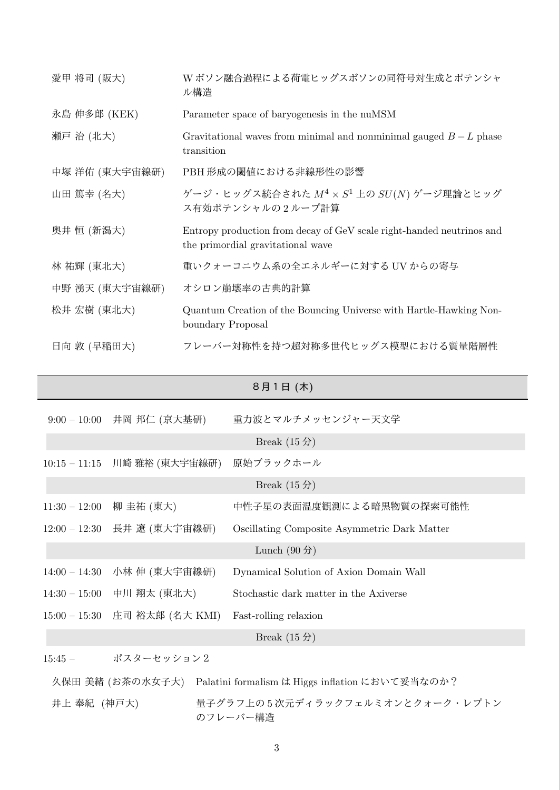| 愛甲 将司 (阪大)     | W ボソン融合過程による荷電ヒッグスボソンの同符号対生成とポテンシャ<br>ル構造                                                                  |
|----------------|------------------------------------------------------------------------------------------------------------|
| 永島 伸多郎 (KEK)   | Parameter space of baryogenesis in the nuMSM                                                               |
| 瀬戸 治 (北大)      | Gravitational waves from minimal and nonminimal gauged $B-L$ phase<br>transition                           |
| 中塚 洋佑 (東大宇宙線研) | PBH 形成の閾値における非線形性の影響                                                                                       |
| 山田 篤幸 (名大)     | ゲージ・ヒッグス統合された $M^4 \times S^1$ 上の $SU(N)$ ゲージ理論とヒッグ<br>ス有効ポテンシャルの2ループ計算                                    |
| 奥井恒 (新潟大)      | Entropy production from decay of GeV scale right-handed neutrinos and<br>the primordial gravitational wave |
| 林 祐輝 (東北大)     | 重いクォーコニウム系の全エネルギーに対する UV からの寄与                                                                             |
| 中野 湧天 (東大宇宙線研) | オシロン崩壊率の古典的計算                                                                                              |
| 松井 宏樹 (東北大)    | Quantum Creation of the Bouncing Universe with Hartle-Hawking Non-<br>boundary Proposal                    |
| 日向 敦 (早稲田大)    | フレーバー対称性を持つ超対称多世代ヒッグス模型における質量階層性                                                                           |

## 8月1日 **(**木**)**

|                 | 9:00 - 10:00 井岡 邦仁 (京大基研)     | 重力波とマルチメッセンジャー天文学                               |
|-----------------|-------------------------------|-------------------------------------------------|
|                 |                               | Break $(15 \nleftrightarrow)$                   |
|                 | 10:15 – 11:15 川崎 雅裕 (東大宇宙線研)  | 原始ブラックホール                                       |
|                 |                               | Break $(15 \nleftrightarrow)$                   |
| $11:30 - 12:00$ | 柳 圭祐 (東大)                     | 中性子星の表面温度観測による暗黒物質の探索可能性                        |
|                 | 12:00 - 12:30 長井 遼 (東大宇宙線研)   | Oscillating Composite Asymmetric Dark Matter    |
|                 |                               | Lunch $(90 \nexists)$                           |
| $14:00 - 14:30$ | 小林 伸 (東大宇宙線研)                 | Dynamical Solution of Axion Domain Wall         |
|                 | 14:30 - 15:00 中川 翔太 (東北大)     | Stochastic dark matter in the Axiverse          |
|                 | 15:00 - 15:30 庄司 裕太郎 (名大 KMI) | Fast-rolling relaxion                           |
|                 |                               | Break $(15 \nleftrightarrow)$                   |
| $15:45 -$       | ポスターセッション2                    |                                                 |
|                 | 久保田 美緒 (お茶の水女子大)              | Palatini formalism は Higgs inflation において妥当なのか? |
| 井上 奉紀 (神戸大)     |                               | 量子グラフ上の5次元ディラックフェルミオンとクォーク・レプトン                 |

のフレーバー構造